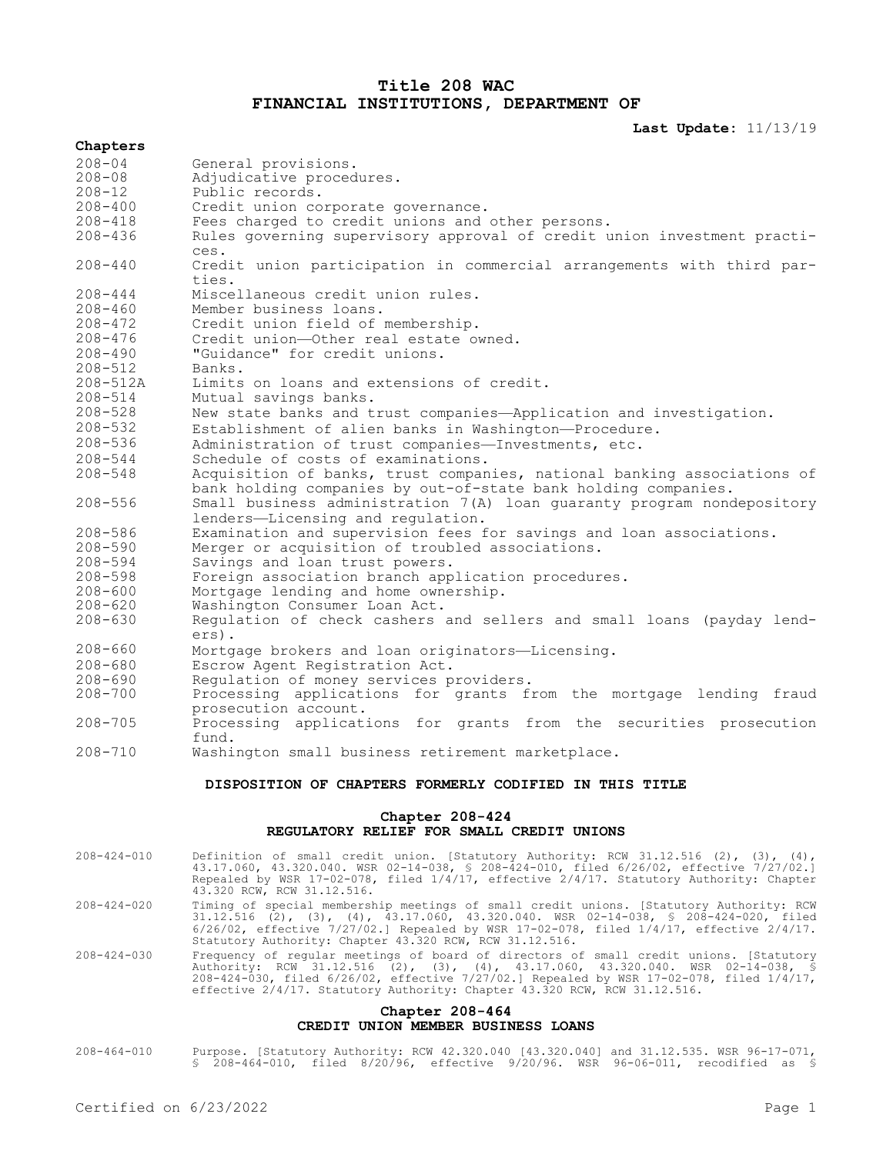# **Title 208 WAC FINANCIAL INSTITUTIONS, DEPARTMENT OF**

**Last Update:** 11/13/19

|                                           | Last Update: II/I3/I9                                                                      |  |
|-------------------------------------------|--------------------------------------------------------------------------------------------|--|
| Chapters                                  |                                                                                            |  |
| $208 - 04$                                | General provisions.                                                                        |  |
| $208 - 08$                                | Adjudicative procedures.                                                                   |  |
| $208 - 12$                                | Public records.                                                                            |  |
| $208 - 400$                               | Credit union corporate governance.                                                         |  |
| $208 - 418$                               | Fees charged to credit unions and other persons.                                           |  |
| $208 - 436$                               | Rules governing supervisory approval of credit union investment practi-                    |  |
|                                           | ces.                                                                                       |  |
| $208 - 440$                               | Credit union participation in commercial arrangements with third par-                      |  |
|                                           | ties.                                                                                      |  |
| $208 - 444$                               | Miscellaneous credit union rules.                                                          |  |
| $208 - 460$                               | Member business loans.                                                                     |  |
| $208 - 472$                               | Credit union field of membership.                                                          |  |
| $208 - 476$                               | Credit union-Other real estate owned.                                                      |  |
| $208 - 490$                               | "Guidance" for credit unions.                                                              |  |
| $208 - 512$                               | Banks.                                                                                     |  |
| $208 - 512A$                              | Limits on loans and extensions of credit.                                                  |  |
| $208 - 514$                               | Mutual savings banks.                                                                      |  |
| $208 - 528$                               | New state banks and trust companies-Application and investigation.                         |  |
| $208 - 532$                               | Establishment of alien banks in Washington-Procedure.                                      |  |
| $208 - 536$                               | Administration of trust companies-Investments, etc.                                        |  |
| $208 - 544$                               | Schedule of costs of examinations.                                                         |  |
| $208 - 548$                               | Acquisition of banks, trust companies, national banking associations of                    |  |
|                                           | bank holding companies by out-of-state bank holding companies.                             |  |
| $208 - 556$                               | Small business administration 7(A) loan guaranty program nondepository                     |  |
|                                           | lenders-Licensing and regulation.                                                          |  |
| $208 - 586$                               | Examination and supervision fees for savings and loan associations.                        |  |
| $208 - 590$                               | Merger or acquisition of troubled associations.                                            |  |
| $208 - 594$                               | Savings and loan trust powers.                                                             |  |
| $208 - 598$                               | Foreign association branch application procedures.                                         |  |
| $208 - 600$                               | Mortgage lending and home ownership.                                                       |  |
| $208 - 620$                               | Washington Consumer Loan Act.                                                              |  |
| $208 - 630$                               | Regulation of check cashers and sellers and small loans (payday lend-                      |  |
|                                           | ers).                                                                                      |  |
| $208 - 660$                               | Mortgage brokers and loan originators-Licensing.                                           |  |
| $208 - 680$                               | Escrow Agent Registration Act.                                                             |  |
| $208 - 690$                               | Requlation of money services providers.                                                    |  |
| $208 - 700$                               | Processing applications for grants from the mortgage lending fraud                         |  |
|                                           | prosecution account.                                                                       |  |
| $208 - 705$                               | Processing applications for grants from the securities prosecution                         |  |
|                                           | fund.                                                                                      |  |
| $208 - 710$                               | Washington small business retirement marketplace.                                          |  |
|                                           | DISPOSITION OF CHAPTERS FORMERLY CODIFIED IN THIS TITLE                                    |  |
| Chapter 208-424                           |                                                                                            |  |
| REGULATORY RELIEF FOR SMALL CREDIT UNIONS |                                                                                            |  |
| 200 121 010                               | Definition of small availt union [Ctatutany Butbouity, DCM 21 12 E16 (2) (2)<br>$\sqrt{2}$ |  |

- 208-424-010 Definition of small credit union. [Statutory Authority: RCW 31.12.516 (2), (3), (4), 43.17.060, 43.320.040. WSR 02-14-038, § 208-424-010, filed 6/26/02, effective 7/27/02.] Repealed by WSR 17-02-078, filed 1/4/17, effective 2/4/17. Statutory Authority: Chapter 43.320 RCW, RCW 31.12.516.
- 208-424-020 Timing of special membership meetings of small credit unions. [Statutory Authority: RCW 31.12.516 (2), (3), (4), 43.17.060, 43.320.040. WSR 02-14-038, § 208-424-020, filed 6/26/02, effective 7/27/02.] Repealed by WSR 17-02-078, filed 1/4/17, effective 2/4/17. Statutory Authority: Chapter 43.320 RCW, RCW 31.12.516.
- 208-424-030 Frequency of regular meetings of board of directors of small credit unions. [Statutory Authority: RCW 31.12.516 (2), (3), (4), 43.17.060, 43.320.040. WSR 02-14-038, § 208-424-030, filed 6/26/02, effective 7/27/02.] Repealed by WSR 17-02-078, filed 1/4/17, effective 2/4/17. Statutory Authority: Chapter 43.320 RCW, RCW 31.12.516.

# **Chapter 208-464 CREDIT UNION MEMBER BUSINESS LOANS**

208-464-010 Purpose. [Statutory Authority: RCW 42.320.040 [43.320.040] and 31.12.535. WSR 96-17-071, § 208-464-010, filed 8/20/96, effective 9/20/96. WSR 96-06-011, recodified as §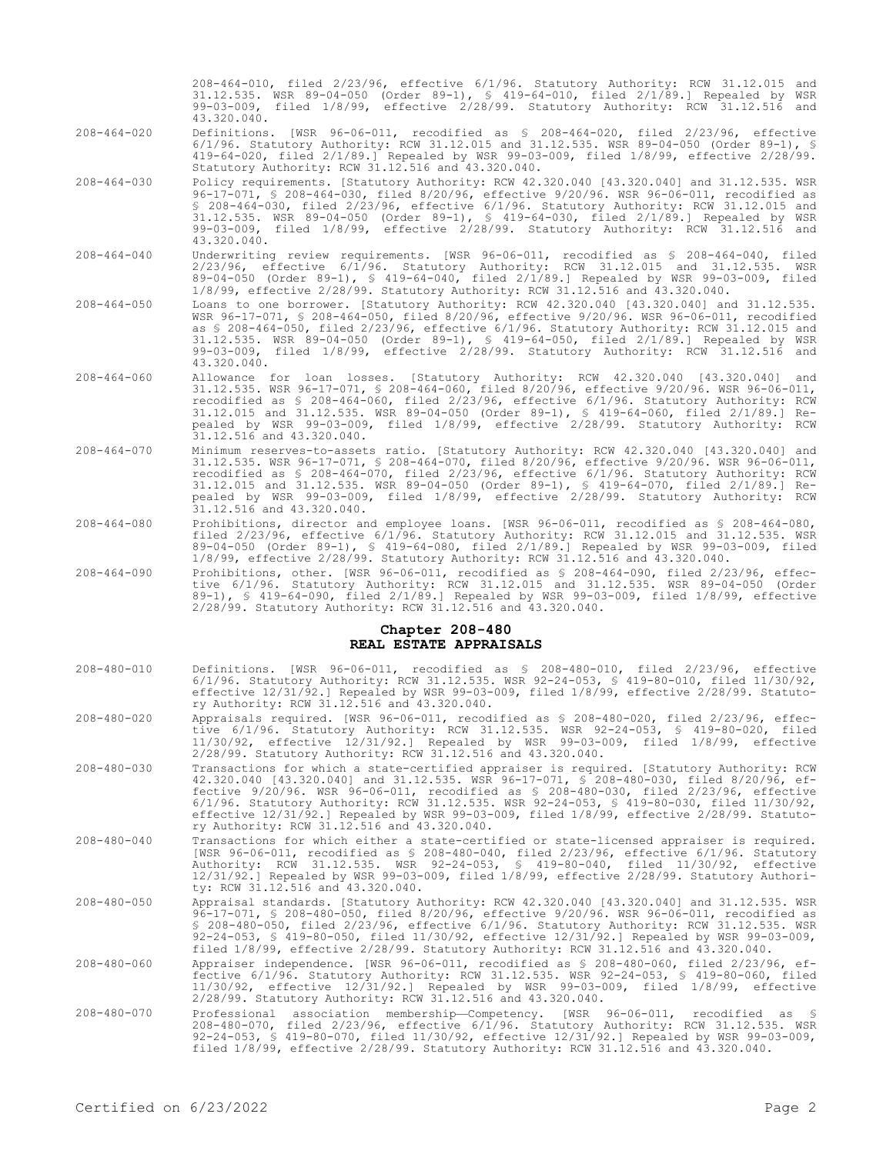208-464-010, filed 2/23/96, effective 6/1/96. Statutory Authority: RCW 31.12.015 and 31.12.535. WSR 89-04-050 (Order 89-1), § 419-64-010, filed 2/1/89.] Repealed by WSR 99-03-009, filed 1/8/99, effective 2/28/99. Statutory Authority: RCW 31.12.516 and 43.320.040.

- 208-464-020 Definitions. [WSR 96-06-011, recodified as § 208-464-020, filed 2/23/96, effective 6/1/96. Statutory Authority: RCW 31.12.015 and 31.12.535. WSR 89-04-050 (Order 89-1), § 419-64-020, filed 2/1/89.] Repealed by WSR 99-03-009, filed 1/8/99, effective 2/28/99. Statutory Authority: RCW 31.12.516 and 43.320.040.
- 208-464-030 Policy requirements. [Statutory Authority: RCW 42.320.040 [43.320.040] and 31.12.535. WSR 96-17-071, § 208-464-030, filed 8/20/96, effective 9/20/96. WSR 96-06-011, recodified as § 208-464-030, filed 2/23/96, effective 6/1/96. Statutory Authority: RCW 31.12.015 and 31.12.535. WSR 89-04-050 (Order 89-1), § 419-64-030, filed 2/1/89.] Repealed by WSR 99-03-009, filed 1/8/99, effective 2/28/99. Statutory Authority: RCW 31.12.516 and 43.320.040.
- 208-464-040 Underwriting review requirements. [WSR 96-06-011, recodified as § 208-464-040, filed 2/23/96, effective 6/1/96. Statutory Authority: RCW 31.12.015 and 31.12.535. WSR 89-04-050 (Order 89-1), § 419-64-040, filed 2/1/89.] Repealed by WSR 99-03-009, filed 1/8/99, effective 2/28/99. Statutory Authority: RCW 31.12.516 and 43.320.040.
- 208-464-050 Loans to one borrower. [Statutory Authority: RCW 42.320.040 [43.320.040] and 31.12.535. WSR 96-17-071, § 208-464-050, filed 8/20/96, effective 9/20/96. WSR 96-06-011, recodified as § 208-464-050, filed 2/23/96, effective 6/1/96. Statutory Authority: RCW 31.12.015 and 31.12.535. WSR 89-04-050 (Order 89-1), § 419-64-050, filed 2/1/89.] Repealed by WSR 99-03-009, filed 1/8/99, effective 2/28/99. Statutory Authority: RCW 31.12.516 and 43.320.040.
- 208-464-060 Allowance for loan losses. [Statutory Authority: RCW 42.320.040 [43.320.040] and 31.12.535. WSR 96-17-071, § 208-464-060, filed 8/20/96, effective 9/20/96. WSR 96-06-011, recodified as § 208-464-060, filed 2/23/96, effective 6/1/96. Statutory Authority: RCW 31.12.015 and 31.12.535. WSR 89-04-050 (Order 89-1), § 419-64-060, filed 2/1/89.] Repealed by WSR 99-03-009, filed 1/8/99, effective 2/28/99. Statutory Authority: RCW 31.12.516 and 43.320.040.
- 208-464-070 Minimum reserves-to-assets ratio. [Statutory Authority: RCW 42.320.040 [43.320.040] and 31.12.535. WSR 96-17-071, § 208-464-070, filed 8/20/96, effective 9/20/96. WSR 96-06-011, recodified as § 208-464-070, filed 2/23/96, effective 6/1/96. Statutory Authority: RCW 31.12.015 and 31.12.535. WSR 89-04-050 (Order 89-1), § 419-64-070, filed 2/1/89.] Repealed by WSR 99-03-009, filed 1/8/99, effective 2/28/99. Statutory Authority: RCW  $31.12.516$  and  $43.320.040$ .
- 208-464-080 Prohibitions, director and employee loans. [WSR 96-06-011, recodified as § 208-464-080, filed 2/23/96, effective 6/1/96. Statutory Authority: RCW 31.12.015 and 31.12.535. WSR 89-04-050 (Order 89-1), § 419-64-080, filed 2/1/89.] Repealed by WSR 99-03-009, filed 1/8/99, effective 2/28/99. Statutory Authority: RCW 31.12.516 and 43.320.040.
- 208-464-090 Prohibitions, other. [WSR 96-06-011, recodified as § 208-464-090, filed 2/23/96, effective 6/1/96. Statutory Authority: RCW 31.12.015 and 31.12.535. WSR 89-04-050 (Order 89-1), § 419-64-090, filed 2/1/89.] Repealed by WSR 99-03-009, filed 1/8/99, effective 2/28/99. Statutory Authority: RCW 31.12.516 and 43.320.040.

#### **Chapter 208-480 REAL ESTATE APPRAISALS**

- 208-480-010 Definitions. [WSR 96-06-011, recodified as § 208-480-010, filed 2/23/96, effective 6/1/96. Statutory Authority: RCW 31.12.535. WSR 92-24-053, § 419-80-010, filed 11/30/92, effective 12/31/92.] Repealed by WSR 99-03-009, filed 1/8/99, effective 2/28/99. Statutory Authority: RCW 31.12.516 and 43.320.040.
- 208-480-020 Appraisals required. [WSR 96-06-011, recodified as § 208-480-020, filed 2/23/96, effective 6/1/96. Statutory Authority: RCW 31.12.535. WSR 92-24-053, § 419-80-020, filed 11/30/92, effective 12/31/92.] Repealed by WSR 99-03-009, filed 1/8/99, effective 2/28/99. Statutory Authority: RCW 31.12.516 and 43.320.040.
- 208-480-030 Transactions for which a state-certified appraiser is required. [Statutory Authority: RCW 42.320.040 [43.320.040] and 31.12.535. WSR 96-17-071, § 208-480-030, filed 8/20/96, effective 9/20/96. WSR 96-06-011, recodified as § 208-480-030, filed 2/23/96, effective 6/1/96. Statutory Authority: RCW 31.12.535. WSR 92-24-053, § 419-80-030, filed 11/30/92, effective 12/31/92.] Repealed by WSR 99-03-009, filed 1/8/99, effective 2/28/99. Statutory Authority: RCW 31.12.516 and 43.320.040.
- 208-480-040 Transactions for which either a state-certified or state-licensed appraiser is required. [WSR 96-06-011, recodified as § 208-480-040, filed 2/23/96, effective 6/1/96. Statutory Authority: RCW 31.12.535. WSR 92-24-053, § 419-80-040, filed 11/30/92, effective 12/31/92.] Repealed by WSR 99-03-009, filed 1/8/99, effective 2/28/99. Statutory Authority: RCW 31.12.516 and 43.320.040.
- 208-480-050 Appraisal standards. [Statutory Authority: RCW 42.320.040 [43.320.040] and 31.12.535. WSR 96-17-071, § 208-480-050, filed 8/20/96, effective 9/20/96. WSR 96-06-011, recodified as § 208-480-050, filed 2/23/96, effective 6/1/96. Statutory Authority: RCW 31.12.535. WSR 92-24-053, § 419-80-050, filed 11/30/92, effective 12/31/92.] Repealed by WSR 99-03-009, filed 1/8/99, effective 2/28/99. Statutory Authority: RCW 31.12.516 and 43.320.040.
- 208-480-060 Appraiser independence. [WSR 96-06-011, recodified as § 208-480-060, filed 2/23/96, ef-fective 6/1/96. Statutory Authority: RCW 31.12.535. WSR 92-24-053, § 419-80-060, filed 11/30/92, effective 12/31/92.] Repealed by WSR 99-03-009, filed 1/8/99, effective 2/28/99. Statutory Authority: RCW 31.12.516 and 43.320.040.
- 208-480-070 Professional association membership—Competency. [WSR 96-06-011, recodified as § 208-480-070, filed 2/23/96, effective 6/1/96. Statutory Authority: RCW 31.12.535. WSR 92-24-053, § 419-80-070, filed 11/30/92, effective 12/31/92.] Repealed by WSR 99-03-009, filed 1/8/99, effective 2/28/99. Statutory Authority: RCW 31.12.516 and 43.320.040.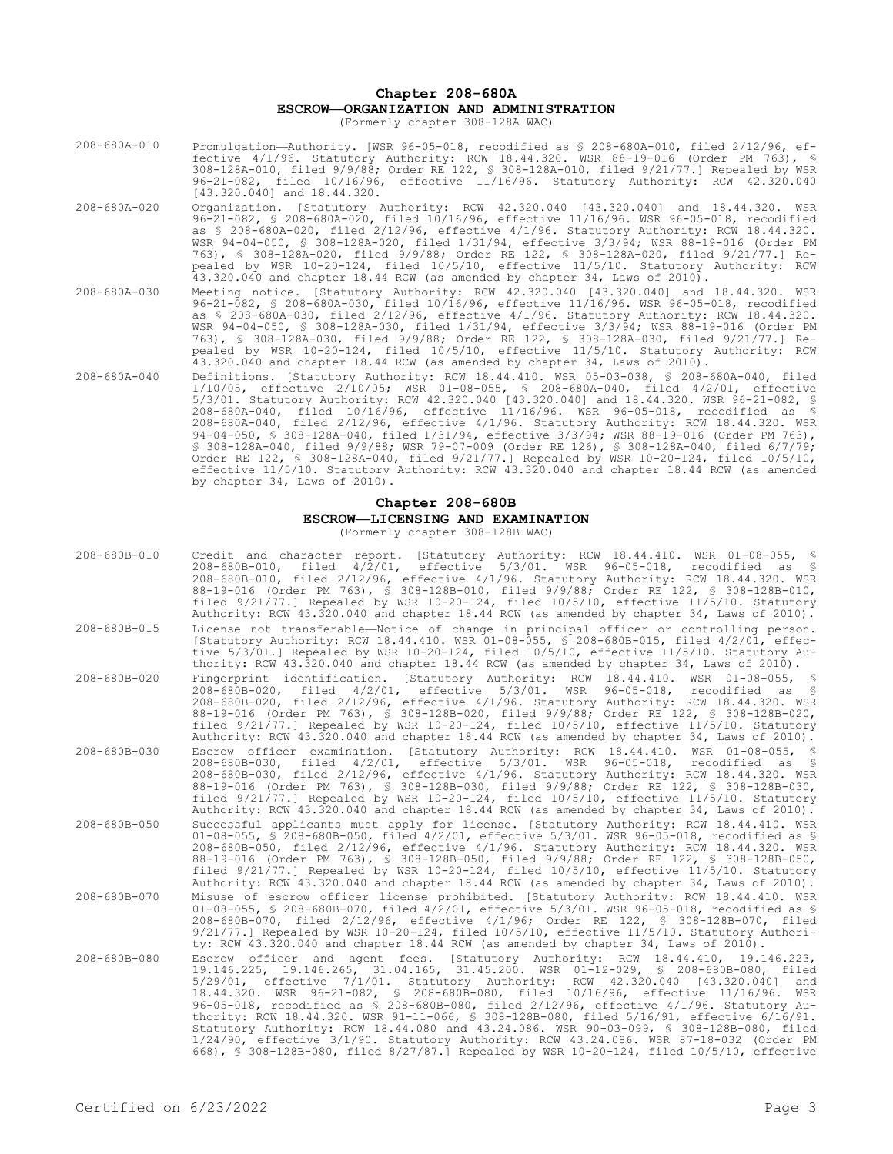# **Chapter 208-680A ESCROW—ORGANIZATION AND ADMINISTRATION**

(Formerly chapter 308-128A WAC)

- 208-680A-010 Promulgation—Authority. [WSR 96-05-018, recodified as § 208-680A-010, filed 2/12/96, effective 4/1/96. Statutory Authority: RCW 18.44.320. WSR 88-19-016 (Order PM 763), § 308-128A-010, filed 9/9/88; Order RE 122, § 308-128A-010, filed 9/21/77.] Repealed by WSR 96-21-082, filed 10/16/96, effective 11/16/96. Statutory Authority: RCW 42.320.040 [43.320.040] and 18.44.320.
- 208-680A-020 Organization. [Statutory Authority: RCW 42.320.040 [43.320.040] and 18.44.320. WSR 96-21-082, § 208-680A-020, filed 10/16/96, effective 11/16/96. WSR 96-05-018, recodified as § 208-680A-020, filed 2/12/96, effective 4/1/96. Statutory Authority: RCW 18.44.320. WSR 94-04-050, § 308-128A-020, filed 1/31/94, effective 3/3/94; WSR 88-19-016 (Order PM 763), § 308-128A-020, filed 9/9/88; Order RE 122, § 308-128A-020, filed 9/21/77.] Repealed by WSR 10-20-124, filed 10/5/10, effective 11/5/10. Statutory Authority: RCW 43.320.040 and chapter 18.44 RCW (as amended by chapter 34, Laws of 2010).
- 208-680A-030 Meeting notice. [Statutory Authority: RCW 42.320.040 [43.320.040] and 18.44.320. WSR 96-21-082, § 208-680A-030, filed 10/16/96, effective 11/16/96. WSR 96-05-018, recodified as § 208-680A-030, filed 2/12/96, effective 4/1/96. Statutory Authority: RCW 18.44.320. WSR 94-04-050, § 308-128A-030, filed 1/31/94, effective 3/3/94; WSR 88-19-016 (Order PM 763), § 308-128A-030, filed 9/9/88; Order RE 122, § 308-128A-030, filed 9/21/77.] Repealed by WSR 10-20-124, filed 10/5/10, effective 11/5/10. Statutory Authority: RCW  $43.320.040$  and chapter 18.44 RCW (as amended by chapter 34, Laws of 2010).
- 208-680A-040 Definitions. [Statutory Authority: RCW 18.44.410. WSR 05-03-038, § 208-680A-040, filed 1/10/05, effective 2/10/05; WSR 01-08-055, § 208-680A-040, filed 4/2/01, effective 5/3/01. Statutory Authority: RCW 42.320.040 [43.320.040] and 18.44.320. WSR 96-21-082, § 208-680A-040, filed 10/16/96, effective 11/16/96. WSR 96-05-018, recodified as § 208-680A-040, filed 2/12/96, effective 4/1/96. Statutory Authority: RCW 18.44.320. WSR 94-04-050, § 308-128A-040, filed 1/31/94, effective 3/3/94; WSR 88-19-016 (Order PM 763), § 308-128A-040, filed 9/9/88; WSR 79-07-009 (Order RE 126), § 308-128A-040, filed 6/7/79; Order RE 122, § 308-128A-040, filed 9/21/77.] Repealed by WSR 10-20-124, filed 10/5/10, effective 11/5/10. Statutory Authority: RCW 43.320.040 and chapter 18.44 RCW (as amended by chapter 34, Laws of 2010).

### **Chapter 208-680B ESCROW—LICENSING AND EXAMINATION** (Formerly chapter 308-128B WAC)

| 208-680B-010       | Credit and character report. [Statutory Authority: RCW 18.44.410. WSR 01-08-055, §<br>208-680B-010, filed 4/2/01, effective 5/3/01. WSR 96-05-018,<br>recodified as \$<br>208-680B-010, filed 2/12/96, effective 4/1/96. Statutory Authority: RCW 18.44.320. WSR<br>88-19-016 (Order PM 763), § 308-128B-010, filed 9/9/88; Order RE 122, § 308-128B-010,<br>filed 9/21/77.] Repealed by WSR 10-20-124, filed 10/5/10, effective 11/5/10. Statutory<br>Authority: RCW 43.320.040 and chapter 18.44 RCW (as amended by chapter 34, Laws of 2010).                                                                                                                                                                                                                                                                         |
|--------------------|--------------------------------------------------------------------------------------------------------------------------------------------------------------------------------------------------------------------------------------------------------------------------------------------------------------------------------------------------------------------------------------------------------------------------------------------------------------------------------------------------------------------------------------------------------------------------------------------------------------------------------------------------------------------------------------------------------------------------------------------------------------------------------------------------------------------------|
| 208-680B-015       | License not transferable—Notice of change in principal officer or controlling person.<br>[Statutory Authority: RCW 18.44.410. WSR 01-08-055, § 208-680B-015, filed 4/2/01, effec-<br>tive 5/3/01.] Repealed by WSR 10-20-124, filed 10/5/10, effective 11/5/10. Statutory Au-<br>thority: RCW 43.320.040 and chapter 18.44 RCW (as amended by chapter 34, Laws of 2010).                                                                                                                                                                                                                                                                                                                                                                                                                                                 |
| 208-680B-020       | Fingerprint identification. [Statutory Authority: RCW 18.44.410. WSR 01-08-055, §<br>$208 - 680B - 020$ , filed $4/2/01$ , effective $5/3/01$ . WSR $96 - 05 - 018$ , recodified<br>as \$<br>208-680B-020, filed 2/12/96, effective 4/1/96. Statutory Authority: RCW 18.44.320. WSR<br>88-19-016 (Order PM 763), § 308-128B-020, filed 9/9/88; Order RE 122, § 308-128B-020,<br>filed 9/21/77.] Repealed by WSR 10-20-124, filed 10/5/10, effective 11/5/10. Statutory<br>Authority: RCW 43.320.040 and chapter 18.44 RCW (as amended by chapter 34, Laws of 2010).                                                                                                                                                                                                                                                      |
| 208-680B-030       | Escrow officer examination. [Statutory Authority: RCW 18.44.410. WSR 01-08-055, §<br>208-680B-030, filed 4/2/01, effective 5/3/01. WSR 96-05-018,<br>recodified as §<br>208-680B-030, filed 2/12/96, effective 4/1/96. Statutory Authority: RCW 18.44.320. WSR<br>88-19-016 (Order PM 763), § 308-128B-030, filed 9/9/88; Order RE 122, § 308-128B-030,<br>filed 9/21/77.] Repealed by WSR 10-20-124, filed 10/5/10, effective 11/5/10. Statutory<br>Authority: RCW 43.320.040 and chapter 18.44 RCW (as amended by chapter 34, Laws of 2010).                                                                                                                                                                                                                                                                           |
| $208 - 680B - 050$ | Successful applicants must apply for license. [Statutory Authority: RCW 18.44.410. WSR<br>01-08-055, § 208-680B-050, filed $4/2/01$ , effective 5/3/01. WSR 96-05-018, recodified as §<br>208-680B-050, filed 2/12/96, effective 4/1/96. Statutory Authority: RCW 18.44.320. WSR<br>88-19-016 (Order PM 763), § 308-128B-050, filed 9/9/88; Order RE 122, § 308-128B-050,<br>filed $9/21/77$ .] Repealed by WSR 10-20-124, filed $10/5/10$ , effective $11/5/10$ . Statutory<br>Authority: RCW 43.320.040 and chapter 18.44 RCW (as amended by chapter 34, Laws of 2010).                                                                                                                                                                                                                                                |
| 208-680B-070       | Misuse of escrow officer license prohibited. [Statutory Authority: RCW 18.44.410. WSR<br>01-08-055, § 208-680B-070, filed 4/2/01, effective 5/3/01. WSR 96-05-018, recodified as §<br>208-680B-070, filed 2/12/96, effective 4/1/96; Order RE 122, § 308-128B-070, filed<br>$9/21/77.$ Repealed by WSR 10-20-124, filed 10/5/10, effective 11/5/10. Statutory Authori-<br>ty: RCW 43.320.040 and chapter 18.44 RCW (as amended by chapter 34, Laws of 2010).                                                                                                                                                                                                                                                                                                                                                             |
| 208-680B-080       | Escrow officer and agent fees. [Statutory Authority: RCW 18.44.410, 19.146.223,<br>19.146.225, 19.146.265, 31.04.165, 31.45.200. WSR 01-12-029, § 208-680B-080, filed<br>5/29/01, effective 7/1/01. Statutory Authority: RCW 42.320.040 [43.320.040]<br>and<br>18.44.320. WSR 96-21-082, § 208-680B-080, filed 10/16/96, effective 11/16/96. WSR<br>96-05-018, recodified as § 208-680B-080, filed 2/12/96, effective 4/1/96. Statutory Au-<br>thority: RCW 18.44.320. WSR 91-11-066, § 308-128B-080, filed 5/16/91, effective 6/16/91.<br>Statutory Authority: RCW 18.44.080 and 43.24.086. WSR 90-03-099, § 308-128B-080, filed<br>1/24/90, effective 3/1/90. Statutory Authority: RCW 43.24.086. WSR 87-18-032 (Order PM<br>668), § 308-128B-080, filed 8/27/87.1 Repealed by WSR 10-20-124, filed 10/5/10, effective |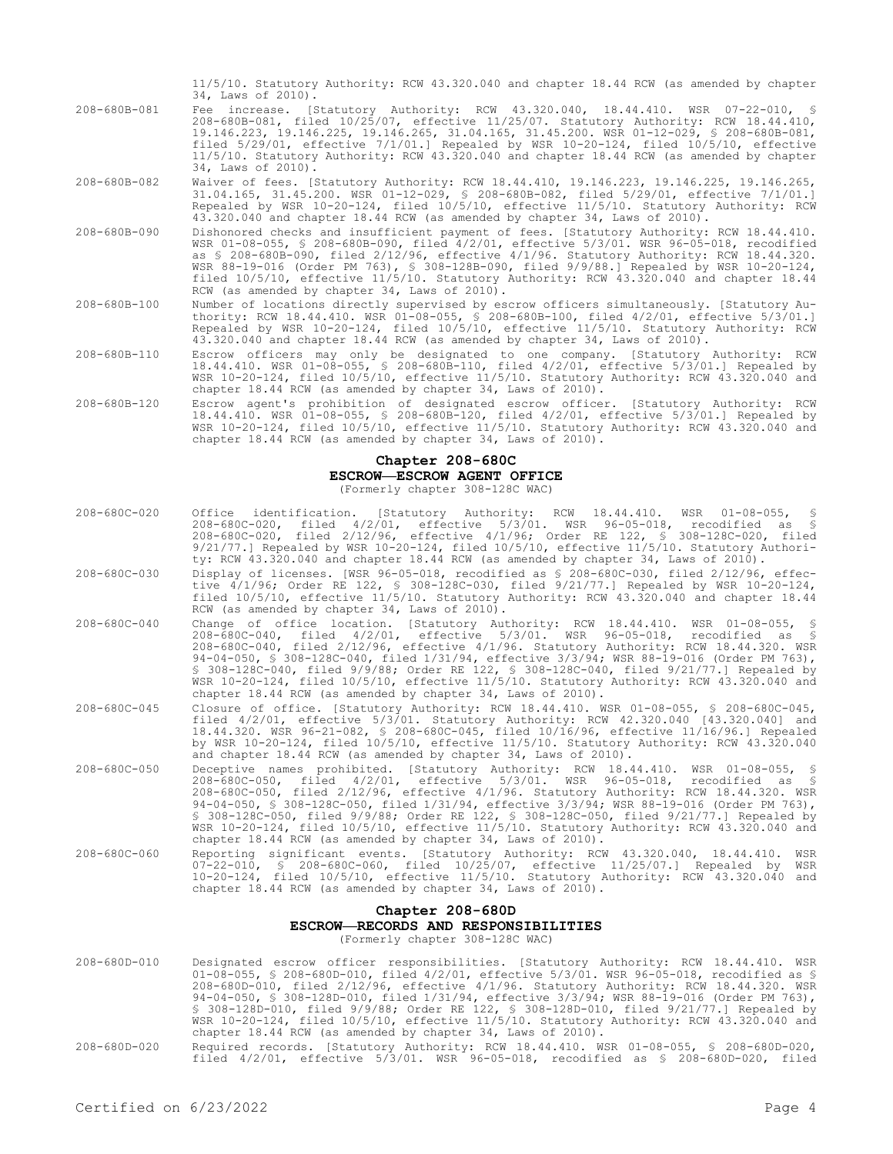|                    | 11/5/10. Statutory Authority: RCW 43.320.040 and chapter 18.44 RCW (as amended by chapter<br>34, Laws of 2010).                                                                                                                                                                                                                                                                                                                                                                                                        |
|--------------------|------------------------------------------------------------------------------------------------------------------------------------------------------------------------------------------------------------------------------------------------------------------------------------------------------------------------------------------------------------------------------------------------------------------------------------------------------------------------------------------------------------------------|
| 208-680B-081       | Fee increase. [Statutory Authority: RCW 43.320.040, 18.44.410. WSR 07-22-010, §<br>208-680B-081, filed 10/25/07, effective 11/25/07. Statutory Authority: RCW 18.44.410,<br>19.146.223, 19.146.225, 19.146.265, 31.04.165, 31.45.200. WSR 01-12-029, § 208-680B-081,<br>filed $5/29/01$ , effective $7/1/01$ . Repealed by WSR $10-20-124$ , filed $10/5/10$ , effective<br>11/5/10. Statutory Authority: RCW 43.320.040 and chapter 18.44 RCW (as amended by chapter<br>34, Laws of 2010).                            |
| $208 - 680B - 082$ | Waiver of fees. [Statutory Authority: RCW 18.44.410, 19.146.223, 19.146.225, 19.146.265,<br>31.04.165, 31.45.200. WSR 01-12-029, § 208-680B-082, filed 5/29/01, effective 7/1/01.1<br>Repealed by WSR 10-20-124, filed 10/5/10, effective 11/5/10. Statutory Authority: RCW<br>43.320.040 and chapter 18.44 RCW (as amended by chapter 34, Laws of 2010).                                                                                                                                                              |
| $208 - 680B - 090$ | Dishonored checks and insufficient payment of fees. [Statutory Authority: RCW 18.44.410.<br>WSR 01-08-055, § 208-680B-090, filed 4/2/01, effective 5/3/01. WSR 96-05-018, recodified<br>as § 208-680B-090, filed 2/12/96, effective 4/1/96. Statutory Authority: RCW 18.44.320.<br>WSR 88-19-016 (Order PM 763), § 308-128B-090, filed 9/9/88.] Repealed by WSR 10-20-124,<br>filed 10/5/10, effective 11/5/10. Statutory Authority: RCW 43.320.040 and chapter 18.44<br>RCW (as amended by chapter 34, Laws of 2010). |
| $208 - 680B - 100$ | Number of locations directly supervised by escrow officers simultaneously. [Statutory Au-<br>thority: RCW 18.44.410. WSR 01-08-055, § 208-680B-100, filed 4/2/01, effective 5/3/01.1<br>Repealed by WSR 10-20-124, filed 10/5/10, effective 11/5/10. Statutory Authority: RCW<br>43.320.040 and chapter 18.44 RCW (as amended by chapter 34, Laws of 2010).                                                                                                                                                            |
| $208 - 680B - 110$ | Escrow officers may only be designated to one company. [Statutory Authority: RCW<br>18.44.410. WSR 01-08-055, § 208-680B-110, filed 4/2/01, effective 5/3/01.] Repealed by<br>WSR 10-20-124, filed 10/5/10, effective 11/5/10. Statutory Authority: RCW 43.320.040 and<br>chapter 18.44 RCW (as amended by chapter 34, Laws of 2010).                                                                                                                                                                                  |
| $208 - 680B - 120$ | Escrow agent's prohibition of designated escrow officer. [Statutory Authority: RCW<br>18.44.410. WSR 01-08-055, § 208-680B-120, filed 4/2/01, effective 5/3/01.] Repealed by<br>WSR 10-20-124, filed 10/5/10, effective 11/5/10. Statutory Authority: RCW 43.320.040 and<br>chapter 18.44 RCW (as amended by chapter 34, Laws of 2010).                                                                                                                                                                                |

## **Chapter 208-680C**

#### **ESCROW—ESCROW AGENT OFFICE**

(Formerly chapter 308-128C WAC)

| $Chapter 208 - 680D$ |                                                                                                                                                                                                                                                                                                                                                                                                                                                                                                                                                                                                                     |  |
|----------------------|---------------------------------------------------------------------------------------------------------------------------------------------------------------------------------------------------------------------------------------------------------------------------------------------------------------------------------------------------------------------------------------------------------------------------------------------------------------------------------------------------------------------------------------------------------------------------------------------------------------------|--|
| 208-680C-060         | Reporting significant events. [Statutory Authority: RCW 43.320.040, 18.44.410.<br>WSR<br>07-22-010, § 208-680C-060, filed 10/25/07, effective 11/25/07.1 Repealed by<br>WSR<br>10-20-124, filed 10/5/10, effective 11/5/10. Statutory Authority: RCW 43.320.040 and<br>chapter 18.44 RCW (as amended by chapter 34, Laws of 2010).                                                                                                                                                                                                                                                                                  |  |
| $208 - 680C - 050$   | Deceptive names prohibited. [Statutory Authority: RCW 18.44.410. WSR 01-08-055, \$<br>208-680C-050, filed 4/2/01, effective 5/3/01. WSR 96-05-018, recodified as \$<br>208-680C-050, filed 2/12/96, effective 4/1/96. Statutory Authority: RCW 18.44.320. WSR<br>94-04-050, \$ 308-128C-050, filed 1/31/94, effective 3/3/94; WSR 88-19-016 (Order PM 763),<br>\$ 308-128C-050, filed 9/9/88; Order RE 122, \$ 308-128C-050, filed 9/21/77.] Repealed by<br>WSR 10-20-124, filed 10/5/10, effective 11/5/10. Statutory Authority: RCW 43.320.040 and<br>chapter 18.44 RCW (as amended by chapter 34, Laws of 2010). |  |
| 208-680C-045         | Closure of office. [Statutory Authority: RCW 18.44.410. WSR 01-08-055, § 208-680C-045,<br>filed 4/2/01, effective 5/3/01. Statutory Authority: RCW 42.320.040 [43.320.040] and<br>18.44.320. WSR 96-21-082, § 208-680C-045, filed 10/16/96, effective 11/16/96.] Repealed<br>by WSR 10-20-124, filed 10/5/10, effective 11/5/10. Statutory Authority: RCW 43.320.040<br>and chapter 18.44 RCW (as amended by chapter 34, Laws of 2010).                                                                                                                                                                             |  |
| $208 - 680C - 040$   | Change of office location. [Statutory Authority: RCW 18.44.410. WSR 01-08-055, \$<br>208-680C-040, filed 4/2/01, effective 5/3/01. WSR 96-05-018, recodified as §<br>208-680C-040, filed 2/12/96, effective 4/1/96. Statutory Authority: RCW 18.44.320. WSR<br>94-04-050, § 308-128C-040, filed 1/31/94, effective 3/3/94; WSR 88-19-016 (Order PM 763),<br>§ 308-128C-040, filed 9/9/88; Order RE 122, § 308-128C-040, filed 9/21/77.] Repealed by<br>WSR 10-20-124, filed 10/5/10, effective 11/5/10. Statutory Authority: RCW 43.320.040 and<br>chapter 18.44 RCW (as amended by chapter 34, Laws of 2010).      |  |
| 208-680C-030         | Display of licenses. [WSR 96-05-018, recodified as \$ 208-680C-030, filed 2/12/96, effec-<br>tive 4/1/96; Order RE 122, § 308-128C-030, filed 9/21/77.] Repealed by WSR 10-20-124,<br>filed 10/5/10, effective 11/5/10. Statutory Authority: RCW 43.320.040 and chapter 18.44<br>RCW (as amended by chapter 34, Laws of 2010).                                                                                                                                                                                                                                                                                      |  |
| 208-680C-020         | Office identification. [Statutory Authority: RCW 18.44.410. WSR 01-08-055, §<br>208-680C-020, filed 4/2/01, effective 5/3/01. WSR 96-05-018, recodified as \$<br>208-680C-020, filed 2/12/96, effective 4/1/96; Order RE 122, § 308-128C-020, filed<br>$9/21/77$ .] Repealed by WSR 10-20-124, filed 10/5/10, effective 11/5/10. Statutory Authori-<br>ty: RCW 43.320.040 and chapter 18.44 RCW (as amended by chapter 34, Laws of 2010).                                                                                                                                                                           |  |
|                      |                                                                                                                                                                                                                                                                                                                                                                                                                                                                                                                                                                                                                     |  |

## **Chapter 208-680D ESCROW—RECORDS AND RESPONSIBILITIES**

(Formerly chapter 308-128C WAC)

- 208-680D-010 Designated escrow officer responsibilities. [Statutory Authority: RCW 18.44.410. WSR 01-08-055, § 208-680D-010, filed 4/2/01, effective 5/3/01. WSR 96-05-018, recodified as § 208-680D-010, filed 2/12/96, effective 4/1/96. Statutory Authority: RCW 18.44.320. WSR 94-04-050, § 308-128D-010, filed 1/31/94, effective 3/3/94; WSR 88-19-016 (Order PM 763), § 308-128D-010, filed 9/9/88; Order RE 122, § 308-128D-010, filed 9/21/77.] Repealed by WSR 10-20-124, filed 10/5/10, effective 11/5/10. Statutory Authority: RCW 43.320.040 and chapter 18.44 RCW (as amended by chapter 34, Laws of 2010).
- 208-680D-020 Required records. [Statutory Authority: RCW 18.44.410. WSR 01-08-055, § 208-680D-020, filed 4/2/01, effective 5/3/01. WSR 96-05-018, recodified as § 208-680D-020, filed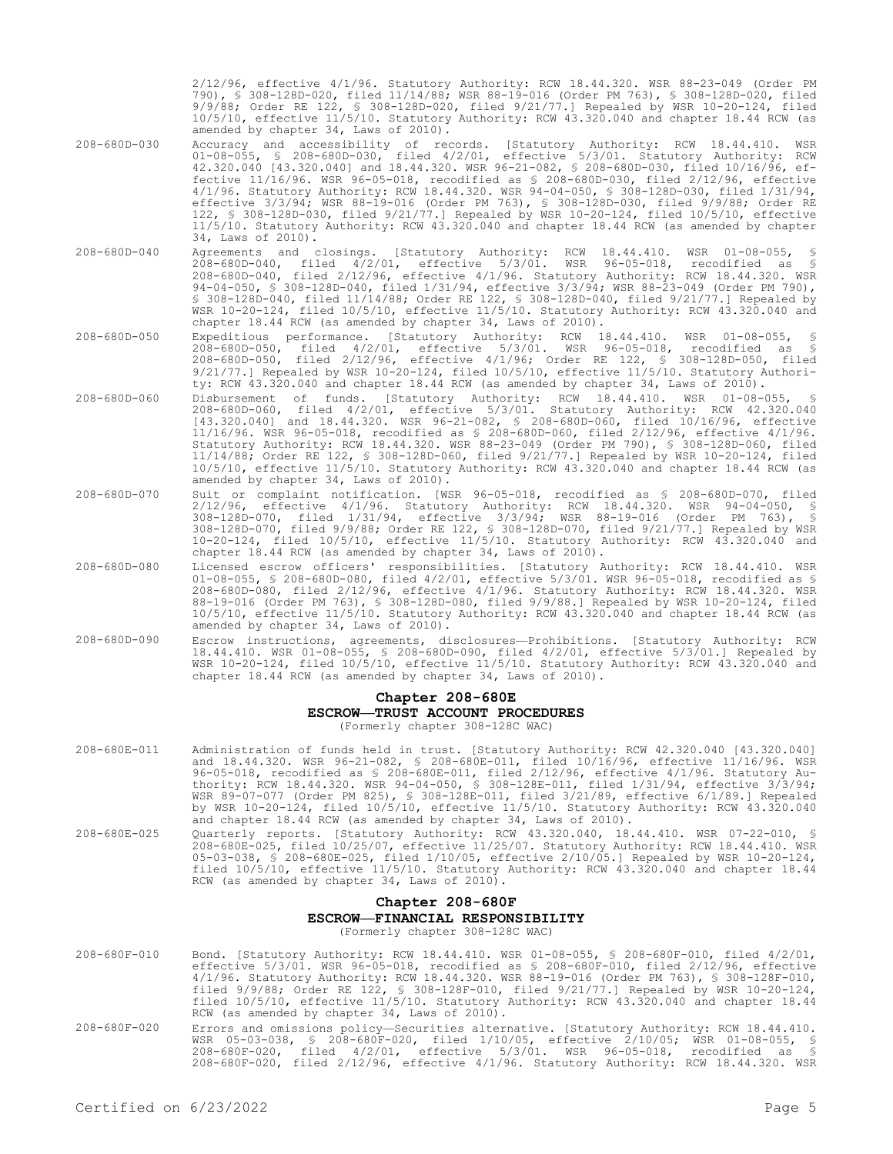2/12/96, effective 4/1/96. Statutory Authority: RCW 18.44.320. WSR 88-23-049 (Order PM 790), § 308-128D-020, filed 11/14/88; WSR 88-19-016 (Order PM 763), § 308-128D-020, filed 9/9/88; Order RE 122, § 308-128D-020, filed 9/21/77.] Repealed by WSR 10-20-124, filed 10/5/10, effective 11/5/10. Statutory Authority: RCW 43.320.040 and chapter 18.44 RCW (as amended by chapter 34, Laws of 2010).

- 208-680D-030 Accuracy and accessibility of records. [Statutory Authority: RCW 18.44.410. WSR 01-08-055, § 208-680D-030, filed 4/2/01, effective 5/3/01. Statutory Authority: RCW 42.320.040 [43.320.040] and 18.44.320. WSR 96-21-082, § 208-680D-030, filed 10/16/96, effective 11/16/96. WSR 96-05-018, recodified as § 208-680D-030, filed 2/12/96, effective 4/1/96. Statutory Authority: RCW 18.44.320. WSR 94-04-050, § 308-128D-030, filed 1/31/94, effective 3/3/94; WSR 88-19-016 (Order PM 763), § 308-128D-030, filed 9/9/88; Order RE 122, § 308-128D-030, filed 9/21/77.] Repealed by WSR 10-20-124, filed 10/5/10, effective 11/5/10. Statutory Authority: RCW 43.320.040 and chapter 18.44 RCW (as amended by chapter 34, Laws of 2010).
- 208-680D-040 Agreements and closings. [Statutory Authority: RCW 18.44.410. WSR 01-08-055, § 208-680D-040, filed 4/2/01, effective 5/3/01. WSR 96-05-018, recodified as § 208-680D-040, filed 2/12/96, effective 4/1/96. Statutory Authority: RCW 18.44.320. WSR 94-04-050, § 308-128D-040, filed 1/31/94, effective 3/3/94; WSR 88-23-049 (Order PM 790), § 308-128D-040, filed 11/14/88; Order RE 122, § 308-128D-040, filed 9/21/77.] Repealed by WSR 10-20-124, filed 10/5/10, effective 11/5/10. Statutory Authority: RCW 43.320.040 and chapter 18.44 RCW (as amended by chapter 34, Laws of 2010).
- 208-680D-050 Expeditious performance. [Statutory Authority: RCW 18.44.410. WSR 01-08-055, § 208-680D-050, filed 4/2/01, effective 5/3/01. WSR 96-05-018, recodified as § 208-680D-050, filed 2/12/96, effective 4/1/96; Order RE 122, § 308-128D-050, filed 9/21/77.] Repealed by WSR 10-20-124, filed 10/5/10, effective 11/5/10. Statutory Authority: RCW 43.320.040 and chapter 18.44 RCW (as amended by chapter 34, Laws of 2010).
- 208-680D-060 Disbursement of funds. [Statutory Authority: RCW 18.44.410. WSR 01-08-055, § 208-680D-060, filed 4/2/01, effective 5/3/01. Statutory Authority: RCW 42.320.040 [43.320.040] and 18.44.320. WSR 96-21-082, § 208-680D-060, filed 10/16/96, effective 11/16/96. WSR 96-05-018, recodified as § 208-680D-060, filed 2/12/96, effective 4/1/96. Statutory Authority: RCW 18.44.320. WSR 88-23-049 (Order PM 790), § 308-128D-060, filed 11/14/88; Order RE 122, § 308-128D-060, filed 9/21/77.] Repealed by WSR 10-20-124, filed 10/5/10, effective 11/5/10. Statutory Authority: RCW 43.320.040 and chapter 18.44 RCW (as amended by chapter 34, Laws of 2010).
- 208-680D-070 Suit or complaint notification. [WSR 96-05-018, recodified as § 208-680D-070, filed 2/12/96, effective 4/1/96. Statutory Authority: RCW 18.44.320. WSR 94-04-050, § 308-128D-070, filed 1/31/94, effective 3/3/94; WSR 88-19-016 (Order PM 763), § 308-128D-070, filed 9/9/88; Order RE 122, § 308-128D-070, filed 9/21/77.] Repealed by WSR 10-20-124, filed 10/5/10, effective 11/5/10. Statutory Authority: RCW 43.320.040 and chapter 18.44 RCW (as amended by chapter 34, Laws of 2010).
- 208-680D-080 Licensed escrow officers' responsibilities. [Statutory Authority: RCW 18.44.410. WSR 01-08-055, § 208-680D-080, filed 4/2/01, effective 5/3/01. WSR 96-05-018, recodified as § 208-680D-080, filed 2/12/96, effective 4/1/96. Statutory Authority: RCW 18.44.320. WSR 88-19-016 (Order PM 763), § 308-128D-080, filed 9/9/88.] Repealed by WSR 10-20-124, filed 10/5/10, effective 11/5/10. Statutory Authority: RCW 43.320.040 and chapter 18.44 RCW (as amended by chapter 34, Laws of 2010).
- 208-680D-090 Escrow instructions, agreements, disclosures—Prohibitions. [Statutory Authority: RCW 18.44.410. WSR 01-08-055, § 208-680D-090, filed 4/2/01, effective 5/3/01.] Repealed by WSR 10-20-124, filed 10/5/10, effective 11/5/10. Statutory Authority: RCW 43.320.040 and chapter 18.44 RCW (as amended by chapter 34, Laws of 2010).

### **Chapter 208-680E**

## **ESCROW—TRUST ACCOUNT PROCEDURES**

(Formerly chapter 308-128C WAC)

- 208-680E-011 Administration of funds held in trust. [Statutory Authority: RCW 42.320.040 [43.320.040] and 18.44.320. WSR 96-21-082, § 208-680E-011, filed 10/16/96, effective 11/16/96. WSR 96-05-018, recodified as § 208-680E-011, filed 2/12/96, effective 4/1/96. Statutory Authority: RCW 18.44.320. WSR 94-04-050, § 308-128E-011, filed 1/31/94, effective 3/3/94; WSR 89-07-077 (Order PM 825), § 308-128E-011, filed 3/21/89, effective 6/1/89.] Repealed by WSR 10-20-124, filed 10/5/10, effective 11/5/10. Statutory Authority: RCW 43.320.040 and chapter 18.44 RCW (as amended by chapter 34, Laws of 2010).
- 208-680E-025 Quarterly reports. [Statutory Authority: RCW 43.320.040, 18.44.410. WSR 07-22-010, § 208-680E-025, filed 10/25/07, effective 11/25/07. Statutory Authority: RCW 18.44.410. WSR 05-03-038, § 208-680E-025, filed 1/10/05, effective 2/10/05.] Repealed by WSR 10-20-124, filed 10/5/10, effective 11/5/10. Statutory Authority: RCW 43.320.040 and chapter 18.44 RCW (as amended by chapter 34, Laws of 2010).

# **Chapter 208-680F ESCROW—FINANCIAL RESPONSIBILITY**

(Formerly chapter 308-128C WAC)

- 208-680F-010 Bond. [Statutory Authority: RCW 18.44.410. WSR 01-08-055, § 208-680F-010, filed 4/2/01, effective 5/3/01. WSR 96-05-018, recodified as § 208-680F-010, filed 2/12/96, effective 4/1/96. Statutory Authority: RCW 18.44.320. WSR 88-19-016 (Order PM 763), § 308-128F-010, filed 9/9/88; Order RE 122, § 308-128F-010, filed 9/21/77.] Repealed by WSR 10-20-124, filed 10/5/10, effective 11/5/10. Statutory Authority: RCW 43.320.040 and chapter 18.44 RCW (as amended by chapter 34, Laws of 2010). 208-680F-020 Errors and omissions policy—Securities alternative. [Statutory Authority: RCW 18.44.410.
- WSR 05-03-038, § 208-680F-020, filed 1/10/05, effective 2/10/05; WSR 01-08-055, § 208-680F-020, filed 4/2/01, effective 5/3/01. WSR 96-05-018, recodified as § 208-680F-020, filed 2/12/96, effective 4/1/96. Statutory Authority: RCW 18.44.320. WSR